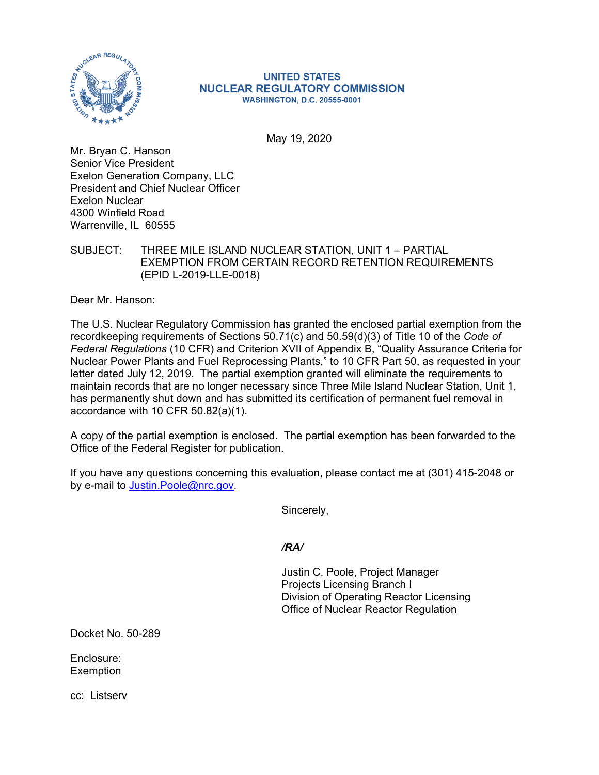

#### **UNITED STATES NUCLEAR REGULATORY COMMISSION WASHINGTON, D.C. 20555-0001**

May 19, 2020

Mr. Bryan C. Hanson Senior Vice President Exelon Generation Company, LLC President and Chief Nuclear Officer Exelon Nuclear 4300 Winfield Road Warrenville, IL 60555

SUBJECT: THREE MILE ISLAND NUCLEAR STATION, UNIT 1 – PARTIAL EXEMPTION FROM CERTAIN RECORD RETENTION REQUIREMENTS (EPID L-2019-LLE-0018)

Dear Mr. Hanson:

The U.S. Nuclear Regulatory Commission has granted the enclosed partial exemption from the recordkeeping requirements of Sections 50.71(c) and 50.59(d)(3) of Title 10 of the *Code of Federal Regulations* (10 CFR) and Criterion XVII of Appendix B, "Quality Assurance Criteria for Nuclear Power Plants and Fuel Reprocessing Plants," to 10 CFR Part 50, as requested in your letter dated July 12, 2019. The partial exemption granted will eliminate the requirements to maintain records that are no longer necessary since Three Mile Island Nuclear Station, Unit 1, has permanently shut down and has submitted its certification of permanent fuel removal in accordance with 10 CFR 50.82(a)(1).

A copy of the partial exemption is enclosed. The partial exemption has been forwarded to the Office of the Federal Register for publication.

If you have any questions concerning this evaluation, please contact me at (301) 415-2048 or by e-mail to Justin.Poole@nrc.gov.

Sincerely,

*/RA/* 

Justin C. Poole, Project Manager Projects Licensing Branch I Division of Operating Reactor Licensing Office of Nuclear Reactor Regulation

Docket No. 50-289

Enclosure: **Exemption** 

cc: Listserv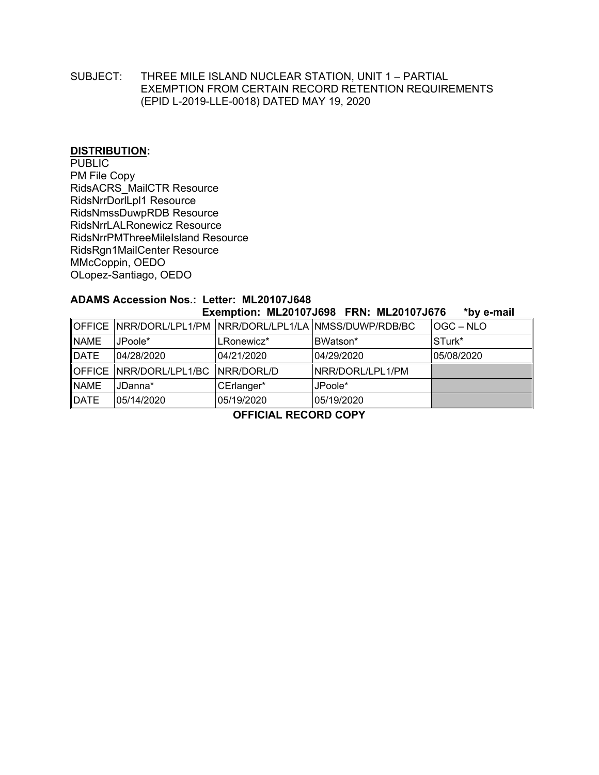### SUBJECT: THREE MILE ISLAND NUCLEAR STATION, UNIT 1 – PARTIAL EXEMPTION FROM CERTAIN RECORD RETENTION REQUIREMENTS (EPID L-2019-LLE-0018) DATED MAY 19, 2020

### **DISTRIBUTION:**

PUBLIC PM File Copy RidsACRS\_MailCTR Resource RidsNrrDorlLpl1 Resource RidsNmssDuwpRDB Resource RidsNrrLALRonewicz Resource RidsNrrPMThreeMileIsland Resource RidsRgn1MailCenter Resource MMcCoppin, OEDO OLopez-Santiago, OEDO

## **ADAMS Accession Nos.: Letter: ML20107J648**

| Exemption: ML20107J698 FRN: ML20107J676<br>*by e-mail |                                    |            |                                                           |            |
|-------------------------------------------------------|------------------------------------|------------|-----------------------------------------------------------|------------|
|                                                       |                                    |            | OFFICE NRR/DORL/LPL1/PM NRR/DORL/LPL1/LA NMSS/DUWP/RDB/BC | IOGC – NLO |
| <b>NAME</b>                                           | JPoole*                            | LRonewicz* | BWatson*                                                  | STurk*     |
| <b>DATE</b>                                           | 04/28/2020                         | 04/21/2020 | 04/29/2020                                                | 05/08/2020 |
|                                                       | OFFICE NRR/DORL/LPL1/BC NRR/DORL/D |            | INRR/DORL/LPL1/PM                                         |            |
| <b>NAME</b>                                           | JDanna*                            | CErlanger* | JPoole*                                                   |            |
| <b>DATE</b>                                           | 05/14/2020                         | 05/19/2020 | 05/19/2020                                                |            |

**OFFICIAL RECORD COPY**